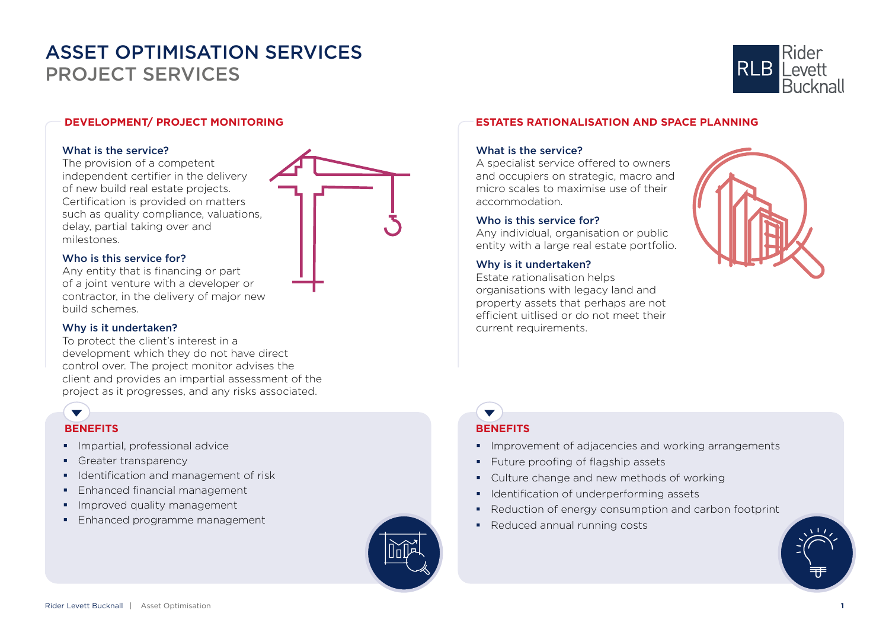

## **DEVELOPMENT/ PROJECT MONITORING**

#### What is the service?

The provision of a competent independent certifier in the delivery of new build real estate projects. Certification is provided on matters such as quality compliance, valuations, delay, partial taking over and milestones.

### Who is this service for?

Any entity that is financing or part of a joint venture with a developer or contractor, in the delivery of major new build schemes.

### Why is it undertaken?

To protect the client's interest in a development which they do not have direct control over. The project monitor advises the client and provides an impartial assessment of the project as it progresses, and any risks associated.

## **BENEFITS BENEFITS**

 $\blacktriangledown$ 

- **Impartial, professional advice**
- Greater transparency
- **IDENTIFICATE CONTERNATION IDENTIFICATE IS LATE CONTERNATION**
- **Enhanced financial management**
- **Improved quality management**
- **Enhanced programme management**



## **ESTATES RATIONALISATION AND SPACE PLANNING**

## What is the service?

A specialist service offered to owners and occupiers on strategic, macro and micro scales to maximise use of their accommodation.

## Who is this service for?

Any individual, organisation or public entity with a large real estate portfolio.

## Why is it undertaken?

Estate rationalisation helps organisations with legacy land and property assets that perhaps are not efficient uitlised or do not meet their current requirements.



# $\blacktriangledown$

- **IMPROVEMENT OF ADJACENCIES AND WORKING ARRANGEMENTS**
- **Future proofing of flagship assets**
- Culture change and new methods of working
- **IDENTIFICATION OF UNDER** DETERTING Assets
- Reduction of energy consumption and carbon footprint
- Reduced annual running costs

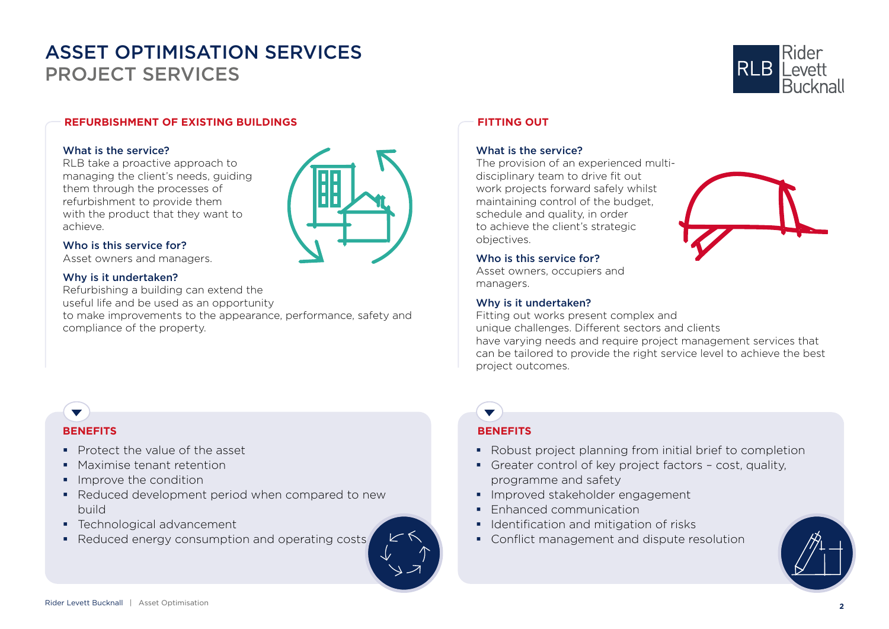

## **REFURBISHMENT OF EXISTING BUILDINGS**

## What is the service?

RLB take a proactive approach to managing the client's needs, guiding them through the processes of refurbishment to provide them with the product that they want to achieve.



## Who is this service for?

Asset owners and managers.

## Why is it undertaken?

Refurbishing a building can extend the useful life and be used as an opportunity to make improvements to the appearance, performance, safety and compliance of the property.

## **FITTING OUT**

## What is the service?

The provision of an experienced multidisciplinary team to drive fit out work projects forward safely whilst maintaining control of the budget, schedule and quality, in order to achieve the client's strategic objectives.

### Who is this service for?

Asset owners, occupiers and managers.

## Why is it undertaken?

Fitting out works present complex and unique challenges. Different sectors and clients have varying needs and require project management services that can be tailored to provide the right service level to achieve the best project outcomes.

## **BENEFITS**

 $\blacktriangledown$ 

- Protect the value of the asset
- **Maximise tenant retention**
- **Improve the condition**
- Reduced development period when compared to new build
- **Technological advancement**
- Reduced energy consumption and operating costs



## **BENEFITS**

 $\blacktriangledown$ 

- Robust project planning from initial brief to completion
- Greater control of key project factors cost, quality, programme and safety
- **Improved stakeholder engagement**
- **Enhanced communication**
- **IDENTIFICATION AND MITIGATION OF risks**
- Conflict management and dispute resolution

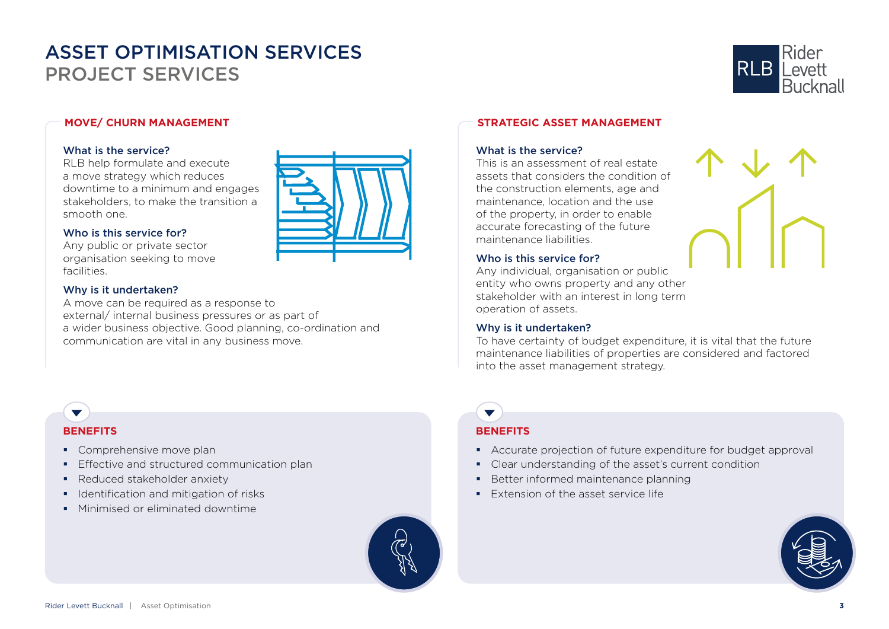

## **MOVE/ CHURN MANAGEMENT**

## What is the service?

RLB help formulate and execute a move strategy which reduces downtime to a minimum and engages stakeholders, to make the transition a smooth one.

## Who is this service for?

Any public or private sector organisation seeking to move facilities.

## Why is it undertaken?

A move can be required as a response to external/ internal business pressures or as part of a wider business objective. Good planning, co-ordination and communication are vital in any business move.

## **STRATEGIC ASSET MANAGEMENT**

## What is the service?

This is an assessment of real estate assets that considers the condition of the construction elements, age and maintenance, location and the use of the property, in order to enable accurate forecasting of the future maintenance liabilities.

## Who is this service for?

Any individual, organisation or public entity who owns property and any other stakeholder with an interest in long term operation of assets.

## Why is it undertaken?

**BENEFITS**

 $\overline{\phantom{0}}$ 

To have certainty of budget expenditure, it is vital that the future maintenance liabilities of properties are considered and factored into the asset management strategy.

- Accurate projection of future expenditure for budget approval
- Clear understanding of the asset's current condition
- Better informed maintenance planning
- **Extension of the asset service life**



## **BENEFITS**

 $\blacktriangledown$ 

- Comprehensive move plan
- **Effective and structured communication plan**
- **Reduced stakeholder anxiety**
- **IDENTIFICATION AND MITIGATION OF risks**
- **Minimised or eliminated downtime**